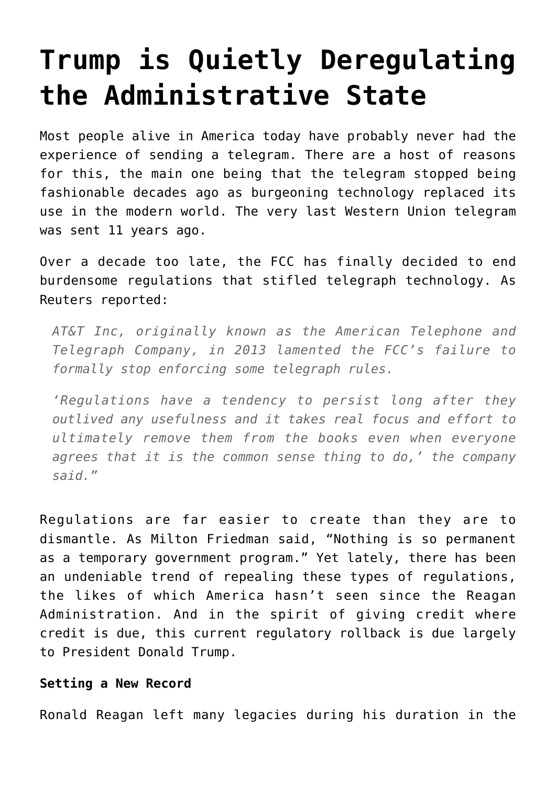## **[Trump is Quietly Deregulating](https://intellectualtakeout.org/2017/11/trump-is-quietly-deregulating-the-administrative-state/) [the Administrative State](https://intellectualtakeout.org/2017/11/trump-is-quietly-deregulating-the-administrative-state/)**

Most people alive in America today have probably never had the experience of sending a telegram. There are a host of reasons for this, the main one being that the telegram stopped being fashionable decades ago as burgeoning technology replaced its use in the modern world. The very last Western Union telegram was sent 11 years ago.

Over a decade too late, the FCC has finally decided to end burdensome regulations that stifled telegraph technology. As Reuters reported:

*AT&T Inc, originally known as the American Telephone and Telegraph Company, in 2013 lamented the FCC's failure to formally stop enforcing some telegraph rules.*

*'Regulations have a tendency to persist long after they outlived any usefulness and it takes real focus and effort to ultimately remove them from the books even when everyone agrees that it is the common sense thing to do,' the company said."*

Regulations are far easier to create than they are to dismantle. As Milton Friedman said, "Nothing is so permanent as a temporary government program." Yet lately, there has been an undeniable trend of repealing these types of regulations, the likes of which America hasn't seen since the Reagan Administration. And in the spirit of giving credit where credit is due, this current regulatory rollback is due largely to President Donald Trump.

## **Setting a New Record**

Ronald Reagan left many legacies during his duration in the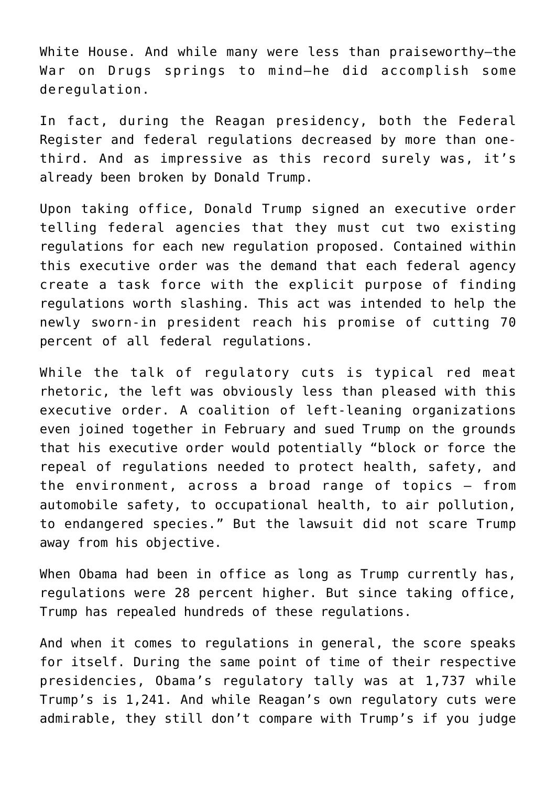White House. And while many were less than praiseworthy—the War on Drugs springs to mind—he did accomplish some deregulation.

In fact, during the Reagan presidency, both the Federal Register and federal regulations decreased by more than onethird. And as impressive as this record surely was, it's already been broken by Donald Trump.

Upon taking office, Donald Trump signed an executive order telling federal agencies that they must cut two existing regulations for each new regulation proposed. Contained within this executive order was the demand that each federal agency create a task force with the explicit purpose of finding regulations worth slashing. This act was intended to help the newly sworn-in president reach his promise of cutting 70 percent of all federal regulations.

While the talk of regulatory cuts is typical red meat rhetoric, the left was obviously less than pleased with this executive order. A coalition of left-leaning organizations even joined together in February and sued Trump on the grounds that his executive order would potentially "block or force the repeal of regulations needed to protect health, safety, and the environment, across a broad range of topics – from automobile safety, to occupational health, to air pollution, to endangered species." But the lawsuit did not scare Trump away from his objective.

When Obama had been in office as long as Trump currently has, regulations were 28 percent higher. But since taking office, Trump has repealed hundreds of these regulations.

And when it comes to regulations in general, the score speaks for itself. During the same point of time of their respective presidencies, Obama's regulatory tally was at 1,737 while Trump's is 1,241. And while Reagan's own regulatory cuts were admirable, they still don't compare with Trump's if you judge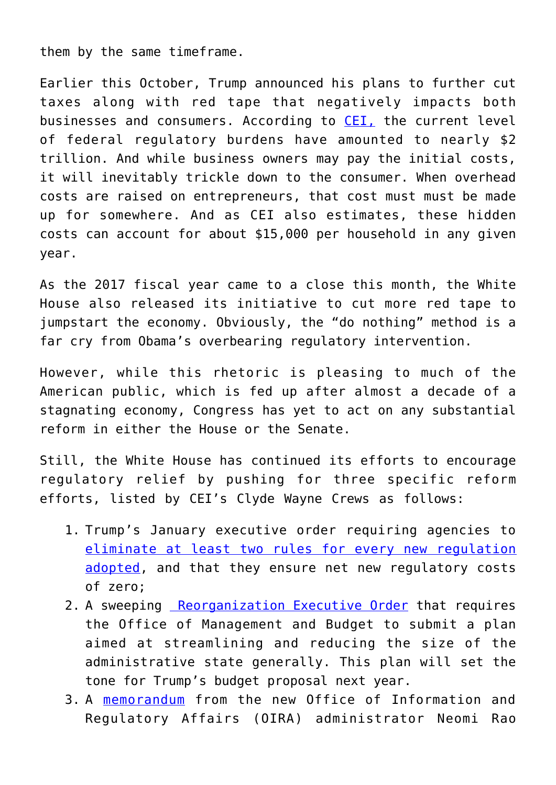them by the same timeframe.

Earlier this October, Trump announced his plans to further cut taxes along with red tape that negatively impacts both businesses and consumers. According to [CEI,](https://cei.org/blog/red-tape-rollback-report-trump-ends-fiscal-year-americas-least-regulatory-president-reagan) the current level of federal regulatory burdens have amounted to nearly \$2 trillion. And while business owners may pay the initial costs, it will inevitably trickle down to the consumer. When overhead costs are raised on entrepreneurs, that cost must must be made up for somewhere. And as CEI also estimates, these hidden costs can account for about \$15,000 per household in any given year.

As the 2017 fiscal year came to a close this month, the White House also released its initiative to cut more red tape to jumpstart the economy. Obviously, the "do nothing" method is a far cry from Obama's overbearing regulatory intervention.

However, while this rhetoric is pleasing to much of the American public, which is fed up after almost a decade of a stagnating economy, Congress has yet to act on any substantial reform in either the House or the Senate.

Still, the White House has continued its efforts to encourage regulatory relief by pushing for three specific reform efforts, listed by CEI's Clyde Wayne Crews as follows:

- 1. Trump's January executive order requiring agencies to [eliminate at least two rules for every new regulation](https://www.whitehouse.gov/the-press-office/2017/01/30/presidential-executive-order-reducing-regulation-and-controlling) [adopted](https://www.whitehouse.gov/the-press-office/2017/01/30/presidential-executive-order-reducing-regulation-and-controlling), and that they ensure net new regulatory costs of zero;
- 2. A sweeping [Reorganization Executive Order](https://www.whitehouse.gov/sites/whitehouse.gov/files/omb/memoranda/2017/M-17-22.pdf) that requires the Office of Management and Budget to submit a plan aimed at streamlining and reducing the size of the administrative state generally. This plan will set the tone for Trump's budget proposal next year.
- 3. A [memorandum](https://www.whitehouse.gov/sites/whitehouse.gov/files/omb/memoranda/2017/FY%202018%20Regulatory%20Cost%20Allowances.pdf) from the new Office of Information and Regulatory Affairs (OIRA) administrator Neomi Rao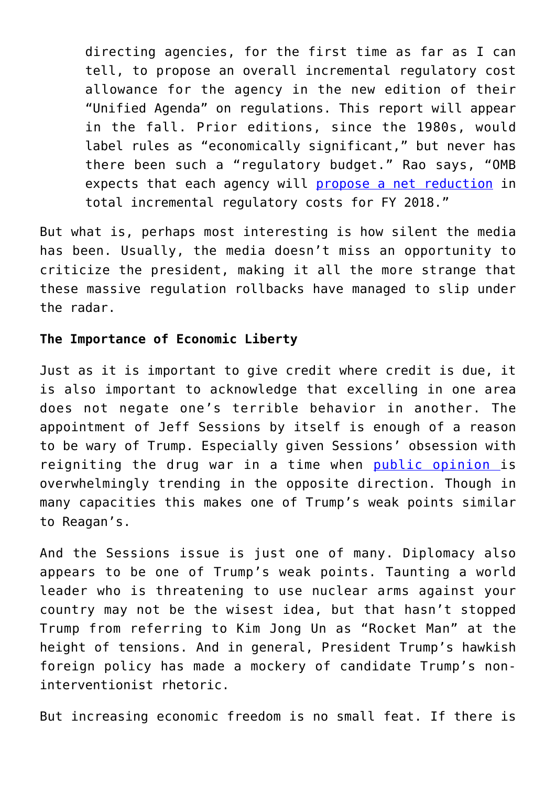directing agencies, for the first time as far as I can tell, to propose an overall incremental regulatory cost allowance for the agency in the new edition of their "Unified Agenda" on regulations. This report will appear in the fall. Prior editions, since the 1980s, would label rules as "economically significant," but never has there been such a "regulatory budget." Rao says, "OMB expects that each agency will [propose a net reduction](https://www.whitehouse.gov/sites/whitehouse.gov/files/omb/memoranda/2017/FY%202018%20Regulatory%20Cost%20Allowances.pdf) in total incremental regulatory costs for FY 2018."

But what is, perhaps most interesting is how silent the media has been. Usually, the media doesn't miss an opportunity to criticize the president, making it all the more strange that these massive regulation rollbacks have managed to slip under the radar.

## **The Importance of Economic Liberty**

Just as it is important to give credit where credit is due, it is also important to acknowledge that excelling in one area does not negate one's terrible behavior in another. The appointment of Jeff Sessions by itself is enough of a reason to be wary of Trump. Especially given Sessions' obsession with reigniting the drug war in a time when [public opinion i](http://thehill.com/blogs/blog-briefing-room/news/357053-poll-64-percent-of-americans-support-legalizing-marijuana)s overwhelmingly trending in the opposite direction. Though in many capacities this makes one of Trump's weak points similar to Reagan's.

And the Sessions issue is just one of many. Diplomacy also appears to be one of Trump's weak points. Taunting a world leader who is threatening to use nuclear arms against your country may not be the wisest idea, but that hasn't stopped Trump from referring to Kim Jong Un as "Rocket Man" at the height of tensions. And in general, President Trump's hawkish foreign policy has made a mockery of candidate Trump's noninterventionist rhetoric.

But increasing economic freedom is no small feat. If there is